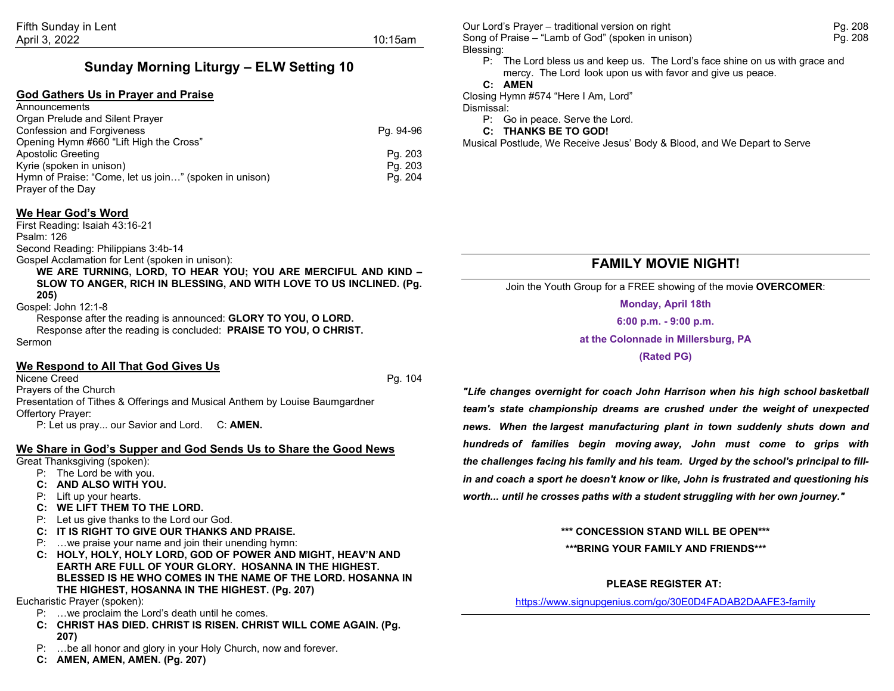## **Sunday Morning Liturgy – ELW Setting 10**

#### **God Gathers Us in Prayer and Praise**

| Announcements                                                               |           |
|-----------------------------------------------------------------------------|-----------|
| Organ Prelude and Silent Prayer                                             |           |
| <b>Confession and Forgiveness</b>                                           | Pg. 94-96 |
| Opening Hymn #660 "Lift High the Cross"                                     |           |
| Apostolic Greeting                                                          | Pg. 203   |
| Kyrie (spoken in unison)                                                    | Pg. 203   |
| Hymn of Praise: "Come, let us join" (spoken in unison)<br>Prayer of the Day | Pg. 204   |

#### **We Hear God's Word**

First Reading: Isaiah 43:16-21 Psalm: 126 Second Reading: Philippians 3:4b-14

Gospel Acclamation for Lent (spoken in unison):

**WE ARE TURNING, LORD, TO HEAR YOU; YOU ARE MERCIFUL AND KIND – SLOW TO ANGER, RICH IN BLESSING, AND WITH LOVE TO US INCLINED. (Pg. 205)**

Gospel: John 12:1-8

Response after the reading is announced: **GLORY TO YOU, O LORD.** Response after the reading is concluded: **PRAISE TO YOU, O CHRIST.** Sermon

#### **We Respond to All That God Gives Us**

Nicene Creed Pg. 104 Prayers of the Church Presentation of Tithes & Offerings and Musical Anthem by Louise Baumgardner Offertory Prayer: P: Let us pray... our Savior and Lord. C: **AMEN.**

**We Share in God's Supper and God Sends Us to Share the Good News**

Great Thanksgiving (spoken):

- P: The Lord be with you.
- **C: AND ALSO WITH YOU.**
- P: Lift up your hearts.
- **C: WE LIFT THEM TO THE LORD.**
- P: Let us give thanks to the Lord our God.
- **C: IT IS RIGHT TO GIVE OUR THANKS AND PRAISE.**
- P: …we praise your name and join their unending hymn:
- **C: HOLY, HOLY, HOLY LORD, GOD OF POWER AND MIGHT, HEAV'N AND EARTH ARE FULL OF YOUR GLORY. HOSANNA IN THE HIGHEST. BLESSED IS HE WHO COMES IN THE NAME OF THE LORD. HOSANNA IN THE HIGHEST, HOSANNA IN THE HIGHEST. (Pg. 207)**

Eucharistic Prayer (spoken):

- P: …we proclaim the Lord's death until he comes.
- **C: CHRIST HAS DIED. CHRIST IS RISEN. CHRIST WILL COME AGAIN. (Pg. 207)**
- P: …be all honor and glory in your Holy Church, now and forever.
- **C: AMEN, AMEN, AMEN. (Pg. 207)**

Our Lord's Prayer – traditional version on right Pg. 208 Song of Praise – "Lamb of God" (spoken in unison) example the example of Praise Pg. 208 Blessing:

P: The Lord bless us and keep us. The Lord's face shine on us with grace and mercy. The Lord look upon us with favor and give us peace.

#### **C: AMEN**

Closing Hymn #574 "Here I Am, Lord"

Dismissal:

P: Go in peace. Serve the Lord.

**C: THANKS BE TO GOD!**

Musical Postlude, We Receive Jesus' Body & Blood, and We Depart to Serve

## **FAMILY MOVIE NIGHT!**

Join the Youth Group for a FREE showing of the movie **OVERCOMER**:

**Monday, April 18th 6:00 p.m. - 9:00 p.m.**

**at the Colonnade in Millersburg, PA**

**(Rated PG)**

*"Life changes overnight for coach John Harrison when his high school basketball team's state championship dreams are crushed under the weight of unexpected news. When the largest manufacturing plant in town suddenly shuts down and hundreds of families begin moving away, John must come to grips with the challenges facing his family and his team. Urged by the school's principal to fillin and coach a sport he doesn't know or like, John is frustrated and questioning his worth... until he crosses paths with a student struggling with her own journey."*

**\*\*\* CONCESSION STAND WILL BE OPEN\*\*\***

*\*\*\****BRING YOUR FAMILY AND FRIENDS\*\*\***

#### **PLEASE REGISTER AT:**

<https://www.signupgenius.com/go/30E0D4FADAB2DAAFE3-family>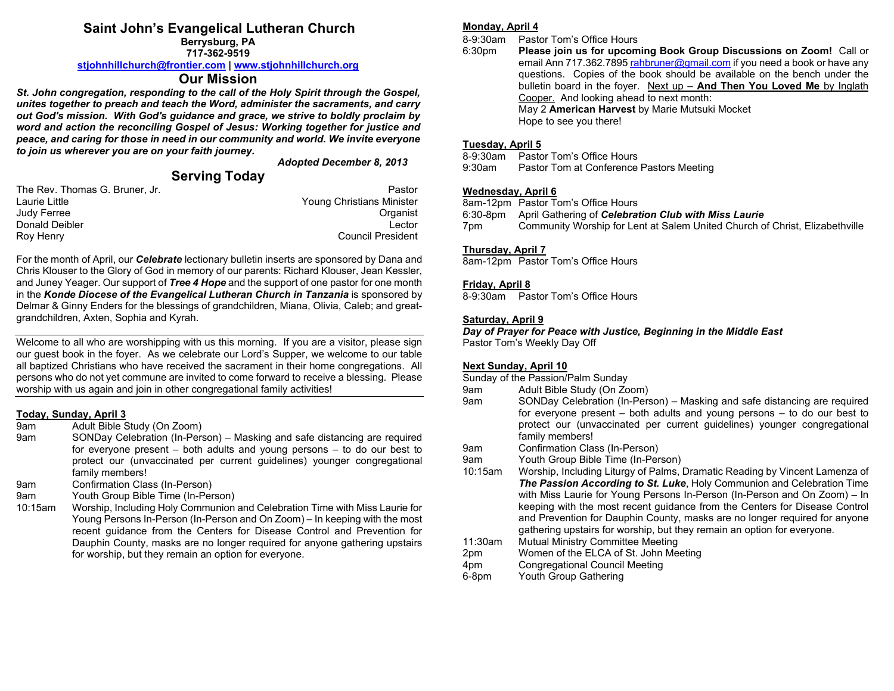## **Saint John's Evangelical Lutheran Church**

**Berrysburg, PA 717-362-9519**

**[stjohnhillchurch@frontier.com](mailto:stjohnhillchurch@frontier.com) | [www.stjohnhillchurch.org](http://www.stjohnhillchurch.org/)**

#### **Our Mission**

*St. John congregation, responding to the call of the Holy Spirit through the Gospel, unites together to preach and teach the Word, administer the sacraments, and carry out God's mission. With God's guidance and grace, we strive to boldly proclaim by word and action the reconciling Gospel of Jesus: Working together for justice and peace, and caring for those in need in our community and world. We invite everyone to join us wherever you are on your faith journey.*

*Adopted December 8, 2013*

### **Serving Today**

| The Rev. Thomas G. Bruner, Jr. | Pastor                    |
|--------------------------------|---------------------------|
| Laurie Little                  | Young Christians Minister |
| Judy Ferree                    | Organist                  |
| Donald Deibler                 | Lector                    |
| Roy Henry                      | <b>Council President</b>  |

For the month of April, our *Celebrate* lectionary bulletin inserts are sponsored by Dana and Chris Klouser to the Glory of God in memory of our parents: Richard Klouser, Jean Kessler, and Juney Yeager. Our support of *Tree 4 Hope* and the support of one pastor for one month in the *Konde Diocese of the Evangelical Lutheran Church in Tanzania* is sponsored by Delmar & Ginny Enders for the blessings of grandchildren, Miana, Olivia, Caleb; and greatgrandchildren, Axten, Sophia and Kyrah.

Welcome to all who are worshipping with us this morning. If you are a visitor, please sign our guest book in the foyer. As we celebrate our Lord's Supper, we welcome to our table all baptized Christians who have received the sacrament in their home congregations. All persons who do not yet commune are invited to come forward to receive a blessing. Please worship with us again and join in other congregational family activities!

#### **Today, Sunday, April 3**

- 9am Adult Bible Study (On Zoom)
- 9am SONDay Celebration (In-Person) Masking and safe distancing are required for everyone present – both adults and young persons – to do our best to protect our (unvaccinated per current guidelines) younger congregational family members!
- 9am Confirmation Class (In-Person)
- 9am Youth Group Bible Time (In-Person)
- 10:15am Worship, Including Holy Communion and Celebration Time with Miss Laurie for Young Persons In-Person (In-Person and On Zoom) – In keeping with the most recent guidance from the Centers for Disease Control and Prevention for Dauphin County, masks are no longer required for anyone gathering upstairs for worship, but they remain an option for everyone.

#### **Monday, April 4**

8-9:30am Pastor Tom's Office Hours

6:30pm **Please join us for upcoming Book Group Discussions on Zoom!** Call or email Ann 717.362.789[5 rahbruner@gmail.com](mailto:rahbruner@gmail.com) if you need a book or have any questions. Copies of the book should be available on the bench under the bulletin board in the foyer. Next up – **And Then You Loved Me** by Inglath Cooper. And looking ahead to next month: May 2 **American Harvest** by Marie Mutsuki Mocket Hope to see you there!

# **Tuesday, April 5**

- Pastor Tom's Office Hours
- 9:30am Pastor Tom at Conference Pastors Meeting

#### **Wednesday, April 6**

8am-12pm Pastor Tom's Office Hours

- 6:30-8pm April Gathering of *Celebration Club with Miss Laurie*
- 7pm Community Worship for Lent at Salem United Church of Christ, Elizabethville

#### **Thursday, April 7**

8am-12pm Pastor Tom's Office Hours

#### **Friday, April 8**

8-9:30am Pastor Tom's Office Hours

#### **Saturday, April 9**

*Day of Prayer for Peace with Justice, Beginning in the Middle East* Pastor Tom's Weekly Day Off

#### **Next Sunday, April 10**

- Sunday of the Passion/Palm Sunday
- 9am Adult Bible Study (On Zoom)
- 9am SONDay Celebration (In-Person) Masking and safe distancing are required for everyone present – both adults and young persons – to do our best to protect our (unvaccinated per current guidelines) younger congregational family members!
- 9am Confirmation Class (In-Person)
- 9am Youth Group Bible Time (In-Person)
- 10:15am Worship, Including Liturgy of Palms, Dramatic Reading by Vincent Lamenza of *The Passion According to St. Luke*, Holy Communion and Celebration Time with Miss Laurie for Young Persons In-Person (In-Person and On Zoom) – In keeping with the most recent guidance from the Centers for Disease Control and Prevention for Dauphin County, masks are no longer required for anyone gathering upstairs for worship, but they remain an option for everyone.
- 11:30am Mutual Ministry Committee Meeting
- 2pm Women of the ELCA of St. John Meeting
- 4pm Congregational Council Meeting
- 6-8pm Youth Group Gathering